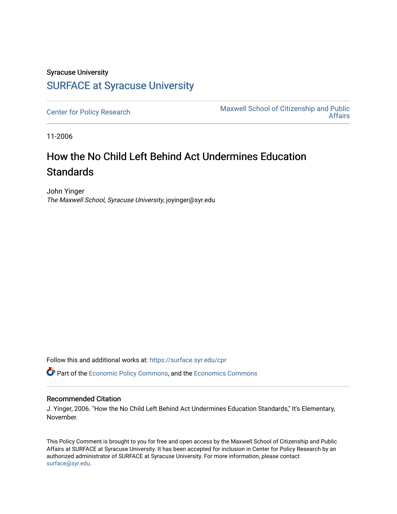## Syracuse University [SURFACE at Syracuse University](https://surface.syr.edu/)

[Center for Policy Research](https://surface.syr.edu/cpr) Maxwell School of Citizenship and Public<br>Affairs [Affairs](https://surface.syr.edu/maxwell) 

11-2006

## How the No Child Left Behind Act Undermines Education **Standards**

John Yinger The Maxwell School, Syracuse University, joyinger@syr.edu

Follow this and additional works at: [https://surface.syr.edu/cpr](https://surface.syr.edu/cpr?utm_source=surface.syr.edu%2Fcpr%2F365&utm_medium=PDF&utm_campaign=PDFCoverPages) 

**P** Part of the [Economic Policy Commons](http://network.bepress.com/hgg/discipline/1025?utm_source=surface.syr.edu%2Fcpr%2F365&utm_medium=PDF&utm_campaign=PDFCoverPages), and the [Economics Commons](http://network.bepress.com/hgg/discipline/340?utm_source=surface.syr.edu%2Fcpr%2F365&utm_medium=PDF&utm_campaign=PDFCoverPages)

## Recommended Citation

J. Yinger, 2006. "How the No Child Left Behind Act Undermines Education Standards," It's Elementary, November.

This Policy Comment is brought to you for free and open access by the Maxwell School of Citizenship and Public Affairs at SURFACE at Syracuse University. It has been accepted for inclusion in Center for Policy Research by an authorized administrator of SURFACE at Syracuse University. For more information, please contact [surface@syr.edu.](mailto:surface@syr.edu)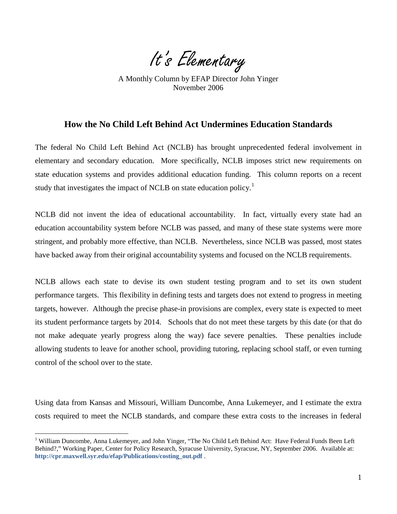It's Elementary

 November 2006 A Monthly Column by EFAP Director John Yinger

## **How the No Child Left Behind Act Undermines Education Standards**

The federal No Child Left Behind Act (NCLB) has brought unprecedented federal involvement in elementary and secondary education. More specifically, NCLB imposes strict new requirements on state education systems and provides additional education funding. This column reports on a recent study that investigates the impact of NCLB on state education policy.<sup>[1](#page-2-0)</sup>

NCLB did not invent the idea of educational accountability. In fact, virtually every state had an education accountability system before NCLB was passed, and many of these state systems were more stringent, and probably more effective, than NCLB. Nevertheless, since NCLB was passed, most states have backed away from their original accountability systems and focused on the NCLB requirements.

NCLB allows each state to devise its own student testing program and to set its own student performance targets. This flexibility in defining tests and targets does not extend to progress in meeting targets, however. Although the precise phase-in provisions are complex, every state is expected to meet its student performance targets by 2014. Schools that do not meet these targets by this date (or that do not make adequate yearly progress along the way) face severe penalties. These penalties include allowing students to leave for another school, providing tutoring, replacing school staff, or even turning control of the school over to the state.

Using data from Kansas and Missouri, William Duncombe, Anna Lukemeyer, and I estimate the extra costs required to meet the NCLB standards, and compare these extra costs to the increases in federal

 $\overline{a}$ 

<sup>&</sup>lt;sup>1</sup> William Duncombe, Anna Lukemeyer, and John Yinger, "The No Child Left Behind Act: Have Federal Funds Been Left Behind?," Working Paper, Center for Policy Research, Syracuse University, Syracuse, NY, September 2006. Available at: **[http://cpr.maxwell.syr.edu/efap/Publications/costing\\_out.pdf](http://cpr.maxwell.syr.edu/efap/Publications/costing_out.pdf)** .